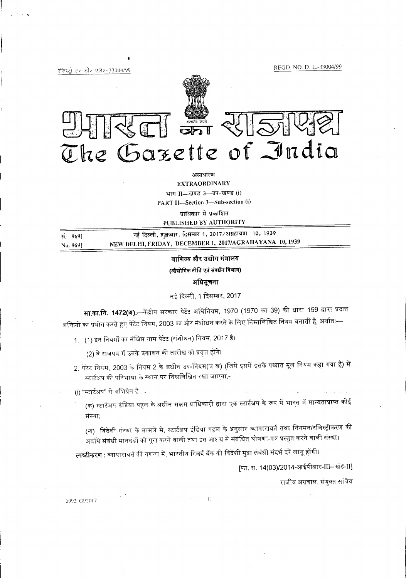REGD NO. D. L-33004/99

रजिस्ट्री संब डीव एलव-33004/99



असाधारण EXTRAORDINARY भाग II-खण्ड 3-3प-खण्ड (i) PART II-Section 3-Sub-section (i)

प्राधिकार से प्रकाशित PUBLISHED BY AUTHORITY

स. 969] No. 969] नई दिल्ली, शुक्रवार, दिसम्बर 1, 2017/अग्रहायण 10, 1939 NEW DELHI, FRIDAY, DECEMBER 1, 20I7/AGRAHAYANA 10,1939

#### वाणिज्य और उद्योग मंत्रालय

#### (औद्योगिक नीति एवं संवर्धन विभाग)

अधिसूचना

नई दिल्ली, 1 दिसम्बर, 2017

**सा.का.नि. 1472(अ).—**केंद्रीय सरकार पेटेंट अधिनियम, 1970 (1970 का 39) की धारा 159 द्वारा प्रदत्त शक्तियों का प्रयोग करते हुए पेटेंट नियम, 2003 का और संशोधन करने के लिए निम्नलिखित नियम बनाती है, अर्थात:—

1. . (1) इन नियमों का मंक्षिप्त नाम पेटेंट (संशोधन) नियम, 2017 है .<br>संक्षि<br>उनके

(2) वे राजपत्र में उनके प्रकाशन की तारीख को प्रवृत्त हो

- 2. पेटेंट नियम, 2003 के नियम 2 के अधीन उप-नियम(च ख) (जिसे इसमें इसके पश्चात मूल नियम कहा गया है) में स्टार्टअप की परिभाषा के स्थान पर निम्नलिखित रखा जाएगा**,**-
- (i) "म्टार्टअप" से अभिप्रेत है।

(क) स्टार्टअप इंडिया पहल के अधीन सक्षम प्राधिकारी द्वारा एक स्टार्टअप के रूप में भारत में मान्यताप्राप्त कोई संस्था;

*(*ख) विदेशी संस्था के मामले में, स्टार्टअप इंडिया पहल के अनुसार व्यापारावर्त तथा निगमन/रजिस्ट्रीकरण की अवधि संबंधी मानदंडों को पूरा करने वाली तथा इस आशय से संबंधित घोषणा-पत्र प्रस्तुत करने वाली संस्था।

**स्पष्टीकरण** : व्यापारावर्त की गणना में, भारतीय रिजर्व बैंक की विदेशी मुद्रा संबंधी संदर्भ दरें लागू होंगी।

[फा. सं. 14(03)/2014-आईपीआर-III– खंड-II]

राजीव अग्रवाल, संयुक्त सचिव

**6992** GI/2017 (1)